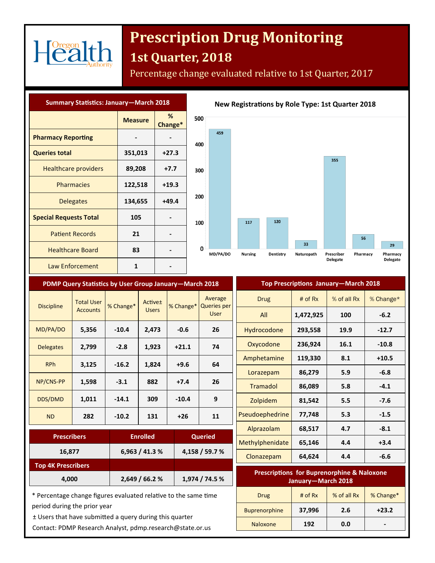

# **Prescription Drug Monitoring**

### **1st Quarter, 2018**

Percentage change evaluated relative to 1st Quarter, 2017

| <b>Summary Statistics: January-March 2018</b> |                |              |              |
|-----------------------------------------------|----------------|--------------|--------------|
|                                               | <b>Measure</b> | %<br>Change* | 5            |
| <b>Pharmacy Reporting</b>                     |                |              | 4            |
| <b>Queries total</b>                          | 351,013        | $+27.3$      |              |
| <b>Healthcare providers</b>                   | 89,208         | $+7.7$       | 3            |
| <b>Pharmacies</b>                             | 122,518        | $+19.3$      |              |
| <b>Delegates</b>                              | 134,655        | $+49.4$      | 2            |
| <b>Special Requests Total</b>                 | 105            |              | $\mathbf{1}$ |
| <b>Patient Records</b>                        | 21             |              |              |
| <b>Healthcare Board</b>                       | 83             |              |              |
| Law Enforcement                               | 1              |              |              |



|             | PDMP Query Statistics by User Group January-March 2018 |           |                         |           |                                      |                           |
|-------------|--------------------------------------------------------|-----------|-------------------------|-----------|--------------------------------------|---------------------------|
|             | Average<br><b>Queries per</b><br><b>User</b>           | % Change* | Active±<br><b>Users</b> | % Change* | <b>Total User</b><br><b>Accounts</b> | <b>Discipline</b>         |
| Hyd         | 26                                                     | $-0.6$    | 2,473                   | $-10.4$   | 5,356                                | MD/PA/DO                  |
| Ox          | 74                                                     | $+21.1$   | 1,923                   | $-2.8$    | 2,799                                | <b>Delegates</b>          |
| Amp         | 64                                                     | $+9.6$    | 1,824                   | $-16.2$   | 3,125                                | <b>RPh</b>                |
| Lo          |                                                        |           |                         |           |                                      |                           |
| Tr          | 26                                                     | $+7.4$    | 882                     | $-3.1$    | 1,598                                | NP/CNS-PP                 |
| Z           | 9                                                      | $-10.4$   | 309                     | $-14.1$   | 1,011                                | DDS/DMD                   |
| Pseud       | 11                                                     | $+26$     | 131                     | $-10.2$   | 282                                  | <b>ND</b>                 |
| Alp         |                                                        |           |                         |           |                                      |                           |
| <b>Meth</b> | <b>Queried</b>                                         |           | <b>Enrolled</b>         |           |                                      | <b>Prescribers</b>        |
| Clo         | 4,158 / 59.7 %                                         |           | 6,963 / 41.3 %          |           |                                      | 16,877                    |
|             |                                                        |           |                         |           |                                      | <b>Top 4K Prescribers</b> |
|             | 1,974 / 74.5 %                                         |           | 2,649/66.2%             |           |                                      | 4,000                     |

| Top Prescriptions January—March 2018 |           |             |              |  |
|--------------------------------------|-----------|-------------|--------------|--|
| Drug                                 | # of $Rx$ | % of all Rx | % Change $*$ |  |
| All                                  | 1,472,925 | 100         | $-6.2$       |  |
| Hydrocodone                          | 293,558   | 19.9        | $-12.7$      |  |
| Oxycodone                            | 236,924   | 16.1        | $-10.8$      |  |
| Amphetamine                          | 119,330   | 8.1         | $+10.5$      |  |
| Lorazepam                            | 86,279    | 5.9         | $-6.8$       |  |
| <b>Tramadol</b>                      | 86,089    | 5.8         | $-4.1$       |  |
| Zolpidem                             | 81,542    | 5.5         | $-7.6$       |  |
| Pseudoephedrine                      | 77,748    | 5.3         | $-1.5$       |  |
| Alprazolam                           | 68,517    | 4.7         | $-8.1$       |  |
| Methylphenidate                      | 65,146    | 4.4         | $+3.4$       |  |
| Clonazepam                           | 64,624    | 4.4         | $-6.6$       |  |

| <b>Prescriptions for Buprenorphine &amp; Naloxone</b><br>January-March 2018 |           |             |           |  |
|-----------------------------------------------------------------------------|-----------|-------------|-----------|--|
| Drug                                                                        | # of $Rx$ | % of all Rx | % Change* |  |
| <b>Buprenorphine</b>                                                        | 37,996    | 2.6         | $+23.2$   |  |
| <b>Naloxone</b>                                                             | 192       | 0.0         |           |  |

\* Percentage change figures evaluated relative to the same time period during the prior year

± Users that have submitted a query during this quarter

Contact: PDMP Research Analyst, pdmp.research@state.or.us